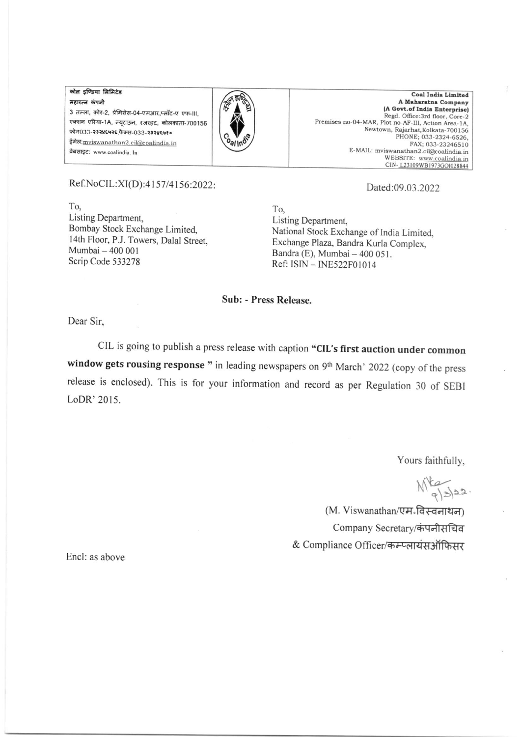कोल इण्डिया लिमिटेड महारत्न कंपनी 3 तल्ला, कोर-2, प्रेमिसेस-04-एमआर,प्लॉट-ए एफ-III, एक्शन एरिया-1A, न्यूटाउन, रजरहट, कोलकाता-700156 फोन033-२३२४६५२६,फैक्स-033-२३२४६५१० ईमेल: mviswanathan2.cil@coalindia.in वेबसाइट: www.coalindia. In



Coal India Limited A Maharatna Company (A Govt.of India Enterprise) Regd. Office:3rd floor, Core-2 Premises no-04-MAR, Plot no-AF-III, Action Area-1A, Newtown, Rajarhat, Kolkata-700156 PHONE; 033-2324-6526, FAX; 033-23246510 E-MAIL: mviswanathan2.cil@coalindia.in wanadian2.chacoalindia.in<br>WEBSITE: www.coalindia.in<br>CIN-L23109WB1973G01028844

## Ref.NoCIL:XI(D):4157/4156:2022:

To, Listing Department, Bombay Stock Exchange Limited, 14th Floor, P.J. Towers, Dalal Street. Mumbai - 400 001 Scrip Code 533278

## Dated:09.03.2022

To. Listing Department, National Stock Exchange of India Limited. Exchange Plaza, Bandra Kurla Complex. Bandra (E), Mumbai - 400 051. Ref: ISIN - INE522F01014

## Sub: - Press Release.

Dear Sir,

CIL is going to publish a press release with caption "CIL's first auction under common window gets rousing response " in leading newspapers on 9th March' 2022 (copy of the press release is enclosed). This is for your information and record as per Regulation 30 of SEBI LoDR' 2015.

Yours faithfully,

 $M_{e/s/2}^{k}$ 

(M. Viswanathan/एम-विस्वनाथन) Company Secretary/कंपनीसचिव & Compliance Officer/कम्प्लायंसऑफिसर

Encl: as above